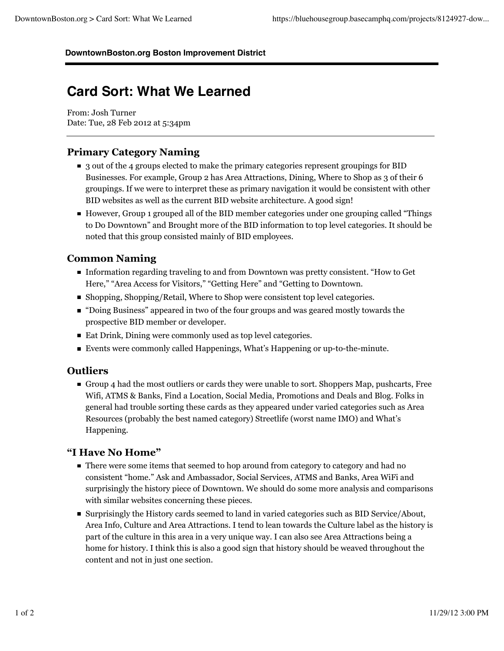#### **DowntownBoston.org Boston Improvement District**

# **Card Sort: What We Learned**

From: Josh Turner Date: Tue, 28 Feb 2012 at 5:34pm

# **Primary Category Naming**

- 3 out of the 4 groups elected to make the primary categories represent groupings for BID Businesses. For example, Group 2 has Area Attractions, Dining, Where to Shop as 3 of their 6 groupings. If we were to interpret these as primary navigation it would be consistent with other BID websites as well as the current BID website architecture. A good sign!
- However, Group 1 grouped all of the BID member categories under one grouping called "Things to Do Downtown" and Brought more of the BID information to top level categories. It should be noted that this group consisted mainly of BID employees.

# **Common Naming**

- Information regarding traveling to and from Downtown was pretty consistent. "How to Get Here," "Area Access for Visitors," "Getting Here" and "Getting to Downtown.
- Shopping, Shopping/Retail, Where to Shop were consistent top level categories.
- "Doing Business" appeared in two of the four groups and was geared mostly towards the prospective BID member or developer.
- Eat Drink, Dining were commonly used as top level categories.
- Events were commonly called Happenings, What's Happening or up-to-the-minute.

# **Outliers**

Group 4 had the most outliers or cards they were unable to sort. Shoppers Map, pushcarts, Free Wifi, ATMS & Banks, Find a Location, Social Media, Promotions and Deals and Blog. Folks in general had trouble sorting these cards as they appeared under varied categories such as Area Resources (probably the best named category) Streetlife (worst name IMO) and What's Happening.

#### **"I Have No Home"**

- There were some items that seemed to hop around from category to category and had no consistent "home." Ask and Ambassador, Social Services, ATMS and Banks, Area WiFi and surprisingly the history piece of Downtown. We should do some more analysis and comparisons with similar websites concerning these pieces.
- Surprisingly the History cards seemed to land in varied categories such as BID Service/About, Area Info, Culture and Area Attractions. I tend to lean towards the Culture label as the history is part of the culture in this area in a very unique way. I can also see Area Attractions being a home for history. I think this is also a good sign that history should be weaved throughout the content and not in just one section.